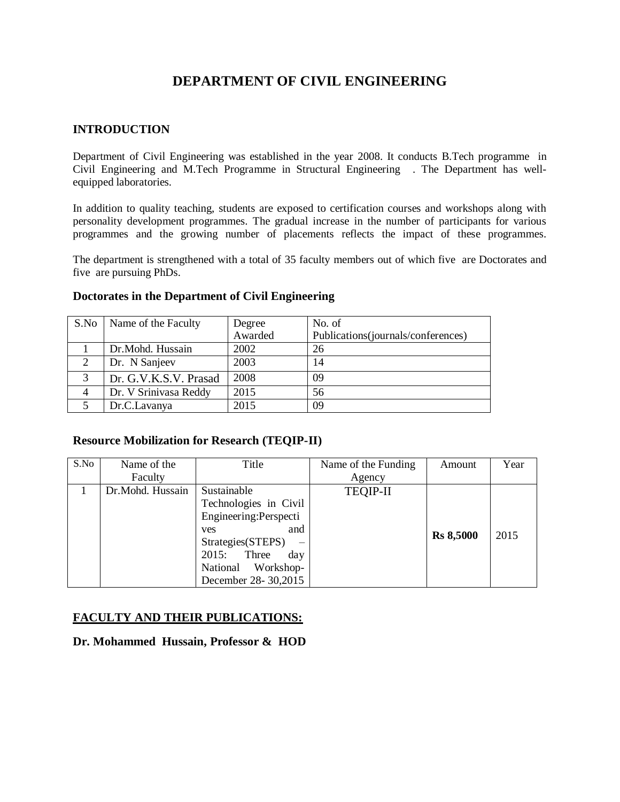# **DEPARTMENT OF CIVIL ENGINEERING**

### **INTRODUCTION**

Department of Civil Engineering was established in the year 2008. It conducts B.Tech programme in Civil Engineering and M.Tech Programme in Structural Engineering . The Department has wellequipped laboratories.

In addition to quality teaching, students are exposed to certification courses and workshops along with personality development programmes. The gradual increase in the number of participants for various programmes and the growing number of placements reflects the impact of these programmes.

The department is strengthened with a total of 35 faculty members out of which five are Doctorates and five are pursuing PhDs.

#### **Doctorates in the Department of Civil Engineering**

| S.No | Name of the Faculty   | Degree  | No. of                              |
|------|-----------------------|---------|-------------------------------------|
|      |                       | Awarded | Publications (journals/conferences) |
|      | Dr.Mohd. Hussain      | 2002    | 26                                  |
| 2    | Dr. N Sanjeev         | 2003    | 14                                  |
| 3    | Dr. G.V.K.S.V. Prasad | 2008    | 09                                  |
|      | Dr. V Srinivasa Reddy | 2015    | 56                                  |
|      | Dr.C.Lavanya          | 2015    | 09                                  |

#### **Resource Mobilization for Research (TEQIP-II)**

| S.No | Name of the      | Title                  | Name of the Funding | Amount           | Year |
|------|------------------|------------------------|---------------------|------------------|------|
|      | Faculty          |                        | Agency              |                  |      |
|      | Dr.Mohd. Hussain | Sustainable            | <b>TEQIP-II</b>     |                  |      |
|      |                  | Technologies in Civil  |                     |                  |      |
|      |                  | Engineering: Perspecti |                     |                  |      |
|      |                  | and<br><b>ves</b>      |                     |                  | 2015 |
|      |                  | Strategies (STEPS)     |                     | <b>Rs 8,5000</b> |      |
|      |                  | 2015:<br>Three<br>day  |                     |                  |      |
|      |                  | Workshop-<br>National  |                     |                  |      |
|      |                  | December 28-30,2015    |                     |                  |      |

#### **FACULTY AND THEIR PUBLICATIONS:**

**Dr. Mohammed Hussain, Professor & HOD**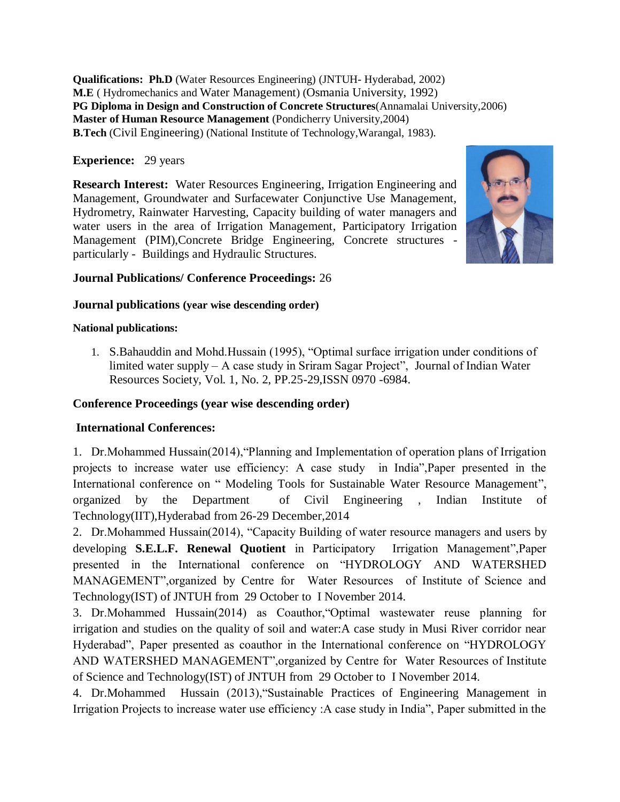**Qualifications: Ph.D** (Water Resources Engineering) (JNTUH- Hyderabad, 2002) **M.E** ( Hydromechanics and Water Management) (Osmania University, 1992) **PG Diploma in Design and Construction of Concrete Structures**(Annamalai University,2006) **Master of Human Resource Management** (Pondicherry University,2004) **B.Tech** (Civil Engineering) (National Institute of Technology,Warangal, 1983).

#### **Experience:** 29 years

**Research Interest:** Water Resources Engineering, Irrigation Engineering and Management, Groundwater and Surfacewater Conjunctive Use Management, Hydrometry, Rainwater Harvesting, Capacity building of water managers and water users in the area of Irrigation Management, Participatory Irrigation Management (PIM),Concrete Bridge Engineering, Concrete structures particularly - Buildings and Hydraulic Structures.



#### **Journal Publications/ Conference Proceedings:** 26

#### **Journal publications (year wise descending order)**

#### **National publications:**

1. S.Bahauddin and Mohd.Hussain (1995), "Optimal surface irrigation under conditions of limited water supply – A case study in Sriram Sagar Project", Journal of Indian Water Resources Society, Vol. 1, No. 2, PP.25-29,ISSN 0970 -6984.

#### **Conference Proceedings (year wise descending order)**

### **International Conferences:**

1. Dr.Mohammed Hussain(2014),"Planning and Implementation of operation plans of Irrigation projects to increase water use efficiency: A case study in India",Paper presented in the International conference on " Modeling Tools for Sustainable Water Resource Management", organized by the Department of Civil Engineering , Indian Institute of Technology(IIT),Hyderabad from 26-29 December,2014

2. Dr.Mohammed Hussain(2014), "Capacity Building of water resource managers and users by developing **S.E.L.F. Renewal Quotient** in Participatory Irrigation Management",Paper presented in the International conference on "HYDROLOGY AND WATERSHED MANAGEMENT",organized by Centre for Water Resources of Institute of Science and Technology(IST) of JNTUH from 29 October to I November 2014.

3. Dr.Mohammed Hussain(2014) as Coauthor,"Optimal wastewater reuse planning for irrigation and studies on the quality of soil and water:A case study in Musi River corridor near Hyderabad", Paper presented as coauthor in the International conference on "HYDROLOGY AND WATERSHED MANAGEMENT",organized by Centre for Water Resources of Institute of Science and Technology(IST) of JNTUH from 29 October to I November 2014.

4. Dr.Mohammed Hussain (2013),"Sustainable Practices of Engineering Management in Irrigation Projects to increase water use efficiency :A case study in India", Paper submitted in the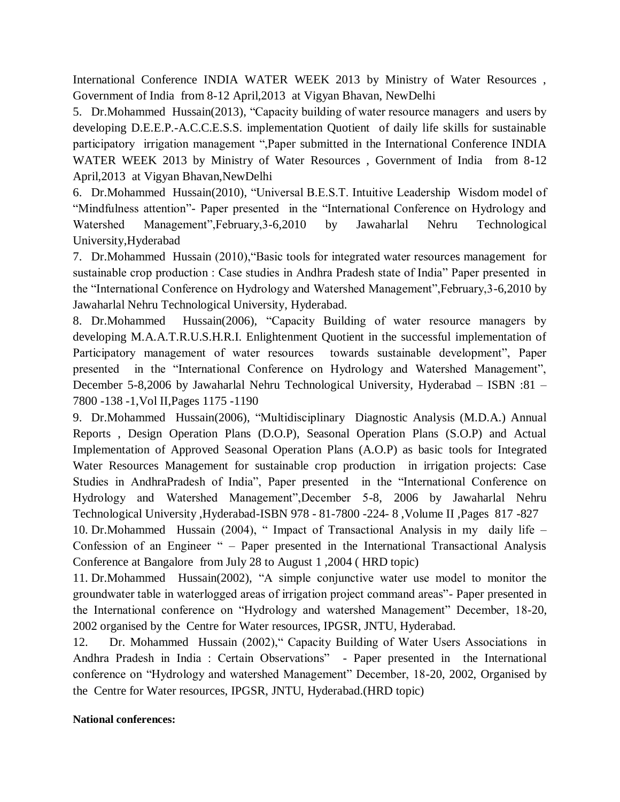International Conference INDIA WATER WEEK 2013 by Ministry of Water Resources , Government of India from 8-12 April,2013 at Vigyan Bhavan, NewDelhi

5. Dr.Mohammed Hussain(2013), "Capacity building of water resource managers and users by developing D.E.E.P.-A.C.C.E.S.S. implementation Quotient of daily life skills for sustainable participatory irrigation management ",Paper submitted in the International Conference INDIA WATER WEEK 2013 by Ministry of Water Resources , Government of India from 8-12 April,2013 at Vigyan Bhavan,NewDelhi

6. Dr.Mohammed Hussain(2010), "Universal B.E.S.T. Intuitive Leadership Wisdom model of "Mindfulness attention"- Paper presented in the "International Conference on Hydrology and Watershed Management",February,3-6,2010 by Jawaharlal Nehru Technological University,Hyderabad

7. Dr.Mohammed Hussain (2010),"Basic tools for integrated water resources management for sustainable crop production : Case studies in Andhra Pradesh state of India" Paper presented in the "International Conference on Hydrology and Watershed Management",February,3-6,2010 by Jawaharlal Nehru Technological University, Hyderabad.

8. Dr.Mohammed Hussain(2006), "Capacity Building of water resource managers by developing M.A.A.T.R.U.S.H.R.I. Enlightenment Quotient in the successful implementation of Participatory management of water resources towards sustainable development", Paper presented in the "International Conference on Hydrology and Watershed Management", December 5-8,2006 by Jawaharlal Nehru Technological University, Hyderabad – ISBN :81 – 7800 -138 -1,Vol II,Pages 1175 -1190

9. Dr.Mohammed Hussain(2006), "Multidisciplinary Diagnostic Analysis (M.D.A.) Annual Reports , Design Operation Plans (D.O.P), Seasonal Operation Plans (S.O.P) and Actual Implementation of Approved Seasonal Operation Plans (A.O.P) as basic tools for Integrated Water Resources Management for sustainable crop production in irrigation projects: Case Studies in AndhraPradesh of India", Paper presented in the "International Conference on Hydrology and Watershed Management",December 5-8, 2006 by Jawaharlal Nehru Technological University ,Hyderabad-ISBN 978 - 81-7800 -224- 8 ,Volume II ,Pages 817 -827

10. Dr.Mohammed Hussain (2004), " Impact of Transactional Analysis in my daily life – Confession of an Engineer " – Paper presented in the International Transactional Analysis Conference at Bangalore from July 28 to August 1 ,2004 ( HRD topic)

11. Dr.Mohammed Hussain(2002), "A simple conjunctive water use model to monitor the groundwater table in waterlogged areas of irrigation project command areas"- Paper presented in the International conference on "Hydrology and watershed Management" December, 18-20, 2002 organised by the Centre for Water resources, IPGSR, JNTU, Hyderabad.

12. Dr. Mohammed Hussain (2002)," Capacity Building of Water Users Associations in Andhra Pradesh in India : Certain Observations" - Paper presented in the International conference on "Hydrology and watershed Management" December, 18-20, 2002, Organised by the Centre for Water resources, IPGSR, JNTU, Hyderabad.(HRD topic)

#### **National conferences:**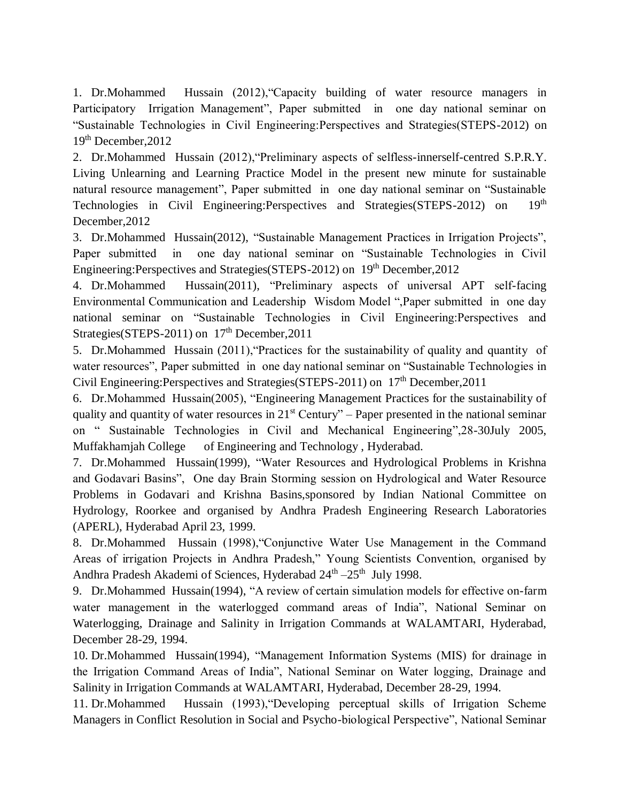1. Dr.Mohammed Hussain (2012),"Capacity building of water resource managers in Participatory Irrigation Management", Paper submitted in one day national seminar on "Sustainable Technologies in Civil Engineering:Perspectives and Strategies(STEPS-2012) on 19th December,2012

2. Dr.Mohammed Hussain (2012),"Preliminary aspects of selfless-innerself-centred S.P.R.Y. Living Unlearning and Learning Practice Model in the present new minute for sustainable natural resource management", Paper submitted in one day national seminar on "Sustainable Technologies in Civil Engineering: Perspectives and Strategies (STEPS-2012) on 19<sup>th</sup> December,2012

3. Dr.Mohammed Hussain(2012), "Sustainable Management Practices in Irrigation Projects", Paper submitted in one day national seminar on "Sustainable Technologies in Civil Engineering:Perspectives and Strategies(STEPS-2012) on 19th December,2012

4. Dr.Mohammed Hussain(2011), "Preliminary aspects of universal APT self-facing Environmental Communication and Leadership Wisdom Model ",Paper submitted in one day national seminar on "Sustainable Technologies in Civil Engineering:Perspectives and Strategies(STEPS-2011) on  $17<sup>th</sup>$  December, 2011

5. Dr.Mohammed Hussain (2011),"Practices for the sustainability of quality and quantity of water resources", Paper submitted in one day national seminar on "Sustainable Technologies in Civil Engineering: Perspectives and Strategies (STEPS-2011) on  $17<sup>th</sup>$  December, 2011

6. Dr.Mohammed Hussain(2005), "Engineering Management Practices for the sustainability of quality and quantity of water resources in  $21<sup>st</sup>$  Century" – Paper presented in the national seminar on " Sustainable Technologies in Civil and Mechanical Engineering",28-30July 2005, Muffakhamjah College of Engineering and Technology , Hyderabad.

7. Dr.Mohammed Hussain(1999), "Water Resources and Hydrological Problems in Krishna and Godavari Basins", One day Brain Storming session on Hydrological and Water Resource Problems in Godavari and Krishna Basins,sponsored by Indian National Committee on Hydrology, Roorkee and organised by Andhra Pradesh Engineering Research Laboratories (APERL), Hyderabad April 23, 1999.

8. Dr.Mohammed Hussain (1998),"Conjunctive Water Use Management in the Command Areas of irrigation Projects in Andhra Pradesh," Young Scientists Convention, organised by Andhra Pradesh Akademi of Sciences, Hyderabad 24<sup>th</sup> -25<sup>th</sup> July 1998.

9. Dr.Mohammed Hussain(1994), "A review of certain simulation models for effective on-farm water management in the waterlogged command areas of India", National Seminar on Waterlogging, Drainage and Salinity in Irrigation Commands at WALAMTARI, Hyderabad, December 28-29, 1994.

10. Dr.Mohammed Hussain(1994), "Management Information Systems (MIS) for drainage in the Irrigation Command Areas of India", National Seminar on Water logging, Drainage and Salinity in Irrigation Commands at WALAMTARI, Hyderabad, December 28-29, 1994.

11. Dr.Mohammed Hussain (1993),"Developing perceptual skills of Irrigation Scheme Managers in Conflict Resolution in Social and Psycho-biological Perspective", National Seminar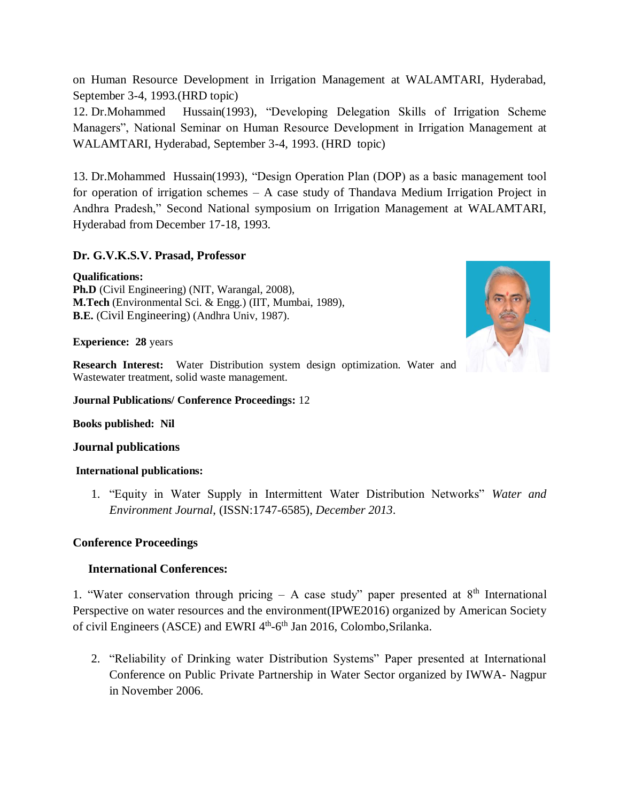on Human Resource Development in Irrigation Management at WALAMTARI, Hyderabad, September 3-4, 1993.(HRD topic)

12. Dr.Mohammed Hussain(1993), "Developing Delegation Skills of Irrigation Scheme Managers", National Seminar on Human Resource Development in Irrigation Management at WALAMTARI, Hyderabad, September 3-4, 1993. (HRD topic)

13. Dr.Mohammed Hussain(1993), "Design Operation Plan (DOP) as a basic management tool for operation of irrigation schemes – A case study of Thandava Medium Irrigation Project in Andhra Pradesh," Second National symposium on Irrigation Management at WALAMTARI, Hyderabad from December 17-18, 1993.

#### **Dr. G.V.K.S.V. Prasad, Professor**

**Qualifications: Ph.D** (Civil Engineering) (NIT, Warangal, 2008), **M.Tech** (Environmental Sci. & Engg.) (IIT, Mumbai, 1989), **B.E.** (Civil Engineering) (Andhra Univ, 1987).

**Experience: 28** years

**Research Interest:** Water Distribution system design optimization. Water and Wastewater treatment, solid waste management.

**Journal Publications/ Conference Proceedings:** 12

**Books published: Nil**

#### **Journal publications**

#### **International publications:**

1. "Equity in Water Supply in Intermittent Water Distribution Networks" *Water and Environment Journal*, (ISSN:1747-6585), *December 2013*.

### **Conference Proceedings**

### **International Conferences:**

1. "Water conservation through pricing – A case study" paper presented at  $8<sup>th</sup>$  International Perspective on water resources and the environment(IPWE2016) organized by American Society of civil Engineers (ASCE) and EWRI 4<sup>th</sup>-6<sup>th</sup> Jan 2016, Colombo, Srilanka.

2. "Reliability of Drinking water Distribution Systems" Paper presented at International Conference on Public Private Partnership in Water Sector organized by IWWA- Nagpur in November 2006.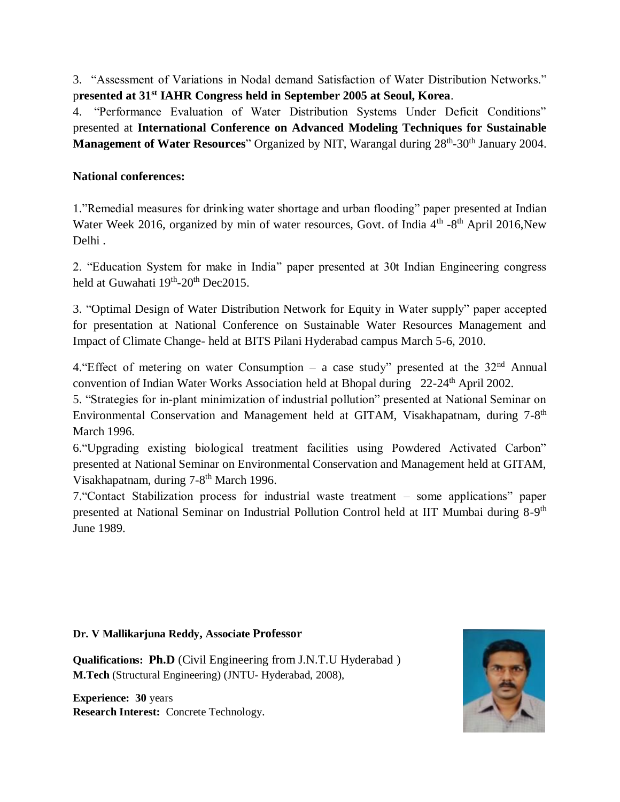3. "Assessment of Variations in Nodal demand Satisfaction of Water Distribution Networks." p**resented at 31st IAHR Congress held in September 2005 at Seoul, Korea**.

4. "Performance Evaluation of Water Distribution Systems Under Deficit Conditions" presented at **International Conference on Advanced Modeling Techniques for Sustainable Management of Water Resources**" Organized by NIT, Warangal during 28<sup>th</sup>-30<sup>th</sup> January 2004.

### **National conferences:**

1."Remedial measures for drinking water shortage and urban flooding" paper presented at Indian Water Week 2016, organized by min of water resources, Govt. of India 4<sup>th</sup> -8<sup>th</sup> April 2016, New Delhi .

2. "Education System for make in India" paper presented at 30t Indian Engineering congress held at Guwahati 19<sup>th</sup>-20<sup>th</sup> Dec2015.

3. "Optimal Design of Water Distribution Network for Equity in Water supply" paper accepted for presentation at National Conference on Sustainable Water Resources Management and Impact of Climate Change- held at BITS Pilani Hyderabad campus March 5-6, 2010.

4. "Effect of metering on water Consumption – a case study" presented at the  $32<sup>nd</sup>$  Annual convention of Indian Water Works Association held at Bhopal during 22-24<sup>th</sup> April 2002.

5. "Strategies for in-plant minimization of industrial pollution" presented at National Seminar on Environmental Conservation and Management held at GITAM, Visakhapatnam, during 7-8<sup>th</sup> March 1996.

6."Upgrading existing biological treatment facilities using Powdered Activated Carbon" presented at National Seminar on Environmental Conservation and Management held at GITAM, Visakhapatnam, during 7-8<sup>th</sup> March 1996.

7."Contact Stabilization process for industrial waste treatment – some applications" paper presented at National Seminar on Industrial Pollution Control held at IIT Mumbai during 8-9<sup>th</sup> June 1989.

#### **Dr. V Mallikarjuna Reddy, Associate Professor**

**Qualifications: Ph.D** (Civil Engineering from J.N.T.U Hyderabad ) **M.Tech** (Structural Engineering) (JNTU- Hyderabad, 2008),

**Experience: 30** years **Research Interest:** Concrete Technology.

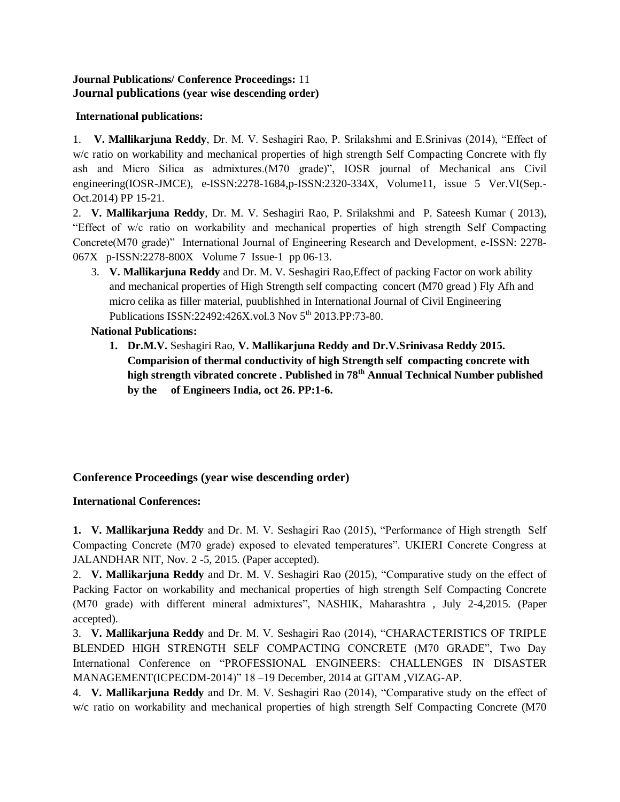#### **Journal Publications/ Conference Proceedings:** 11 **Journal publications (year wise descending order)**

#### **International publications:**

1. **V. Mallikarjuna Reddy**, Dr. M. V. Seshagiri Rao, P. Srilakshmi and E.Srinivas (2014), "Effect of w/c ratio on workability and mechanical properties of high strength Self Compacting Concrete with fly ash and Micro Silica as admixtures.(M70 grade)", IOSR journal of Mechanical ans Civil engineering(IOSR-JMCE), e-ISSN:2278-1684,p-ISSN:2320-334X, Volume11, issue 5 Ver.VI(Sep.- Oct.2014) PP 15-21.

2. **V. Mallikarjuna Reddy**, Dr. M. V. Seshagiri Rao, P. Srilakshmi and P. Sateesh Kumar ( 2013), "Effect of w/c ratio on workability and mechanical properties of high strength Self Compacting Concrete(M70 grade)" International Journal of Engineering Research and Development, e-ISSN: 2278- 067X p-ISSN:2278-800X Volume 7 Issue-1 pp 06-13.

3. **V. Mallikarjuna Reddy** and Dr. M. V. Seshagiri Rao,Effect of packing Factor on work ability and mechanical properties of High Strength self compacting concert (M70 gread ) Fly Afh and micro celika as filler material, puublishhed in International Journal of Civil Engineering Publications ISSN:22492:426X.vol.3 Nov 5<sup>th</sup> 2013.PP:73-80.

#### **National Publications:**

**1. Dr.M.V.** Seshagiri Rao, **V. Mallikarjuna Reddy and Dr.V.Srinivasa Reddy 2015. Comparision of thermal conductivity of high Strength self compacting concrete with high strength vibrated concrete . Published in 78th Annual Technical Number published by the of Engineers India, oct 26. PP:1-6.** 

### **Conference Proceedings (year wise descending order)**

**International Conferences:**

**1. V. Mallikarjuna Reddy** and Dr. M. V. Seshagiri Rao (2015), "Performance of High strength Self Compacting Concrete (M70 grade) exposed to elevated temperatures". UKIERI Concrete Congress at JALANDHAR NIT, Nov. 2 -5, 2015. (Paper accepted).

2. **V. Mallikarjuna Reddy** and Dr. M. V. Seshagiri Rao (2015), "Comparative study on the effect of Packing Factor on workability and mechanical properties of high strength Self Compacting Concrete (M70 grade) with different mineral admixtures", NASHIK, Maharashtra , July 2-4,2015. (Paper accepted).

3. **V. Mallikarjuna Reddy** and Dr. M. V. Seshagiri Rao (2014), "CHARACTERISTICS OF TRIPLE BLENDED HIGH STRENGTH SELF COMPACTING CONCRETE (M70 GRADE", Two Day International Conference on "PROFESSIONAL ENGINEERS: CHALLENGES IN DISASTER MANAGEMENT(ICPECDM-2014)" 18 –19 December, 2014 at GITAM ,VIZAG-AP.

4. **V. Mallikarjuna Reddy** and Dr. M. V. Seshagiri Rao (2014), "Comparative study on the effect of w/c ratio on workability and mechanical properties of high strength Self Compacting Concrete (M70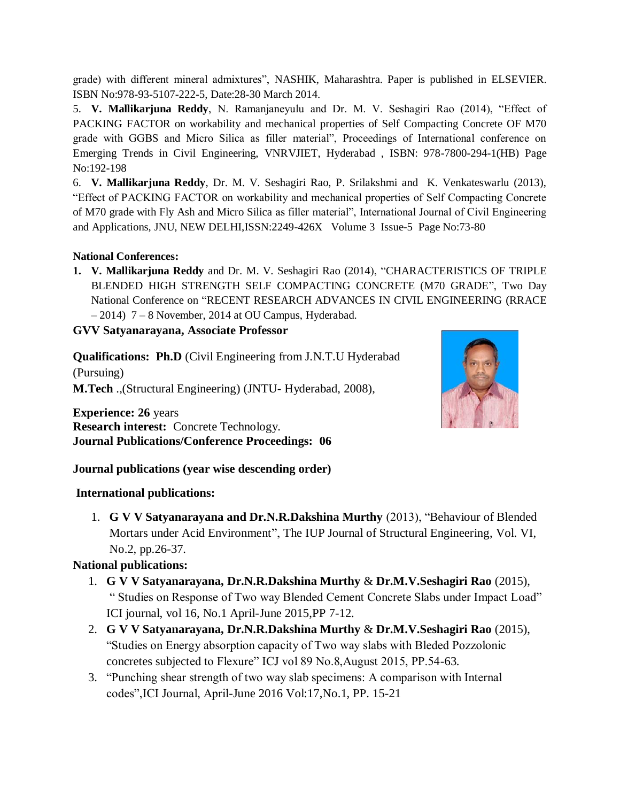grade) with different mineral admixtures", NASHIK, Maharashtra. Paper is published in ELSEVIER. ISBN No:978-93-5107-222-5, Date:28-30 March 2014.

5. **V. Mallikarjuna Reddy**, N. Ramanjaneyulu and Dr. M. V. Seshagiri Rao (2014), "Effect of PACKING FACTOR on workability and mechanical properties of Self Compacting Concrete OF M70 grade with GGBS and Micro Silica as filler material", Proceedings of International conference on Emerging Trends in Civil Engineering, VNRVJIET, Hyderabad , ISBN: 978-7800-294-1(HB) Page No:192-198

6. **V. Mallikarjuna Reddy**, Dr. M. V. Seshagiri Rao, P. Srilakshmi and K. Venkateswarlu (2013), "Effect of PACKING FACTOR on workability and mechanical properties of Self Compacting Concrete of M70 grade with Fly Ash and Micro Silica as filler material", International Journal of Civil Engineering and Applications, JNU, NEW DELHI,ISSN:2249-426X Volume 3 Issue-5 Page No:73-80

### **National Conferences:**

**1. V. Mallikarjuna Reddy** and Dr. M. V. Seshagiri Rao (2014), "CHARACTERISTICS OF TRIPLE BLENDED HIGH STRENGTH SELF COMPACTING CONCRETE (M70 GRADE", Two Day National Conference on "RECENT RESEARCH ADVANCES IN CIVIL ENGINEERING (RRACE  $-2014$ )  $7-8$  November, 2014 at OU Campus, Hyderabad.

**GVV Satyanarayana, Associate Professor**

**Qualifications: Ph.D** (Civil Engineering from J.N.T.U Hyderabad (Pursuing) **M.Tech** .,(Structural Engineering) (JNTU- Hyderabad, 2008),

**Experience: 26** years **Research interest:** Concrete Technology. **Journal Publications/Conference Proceedings: 06**



**Journal publications (year wise descending order)**

# **International publications:**

1. **G V V Satyanarayana and Dr.N.R.Dakshina Murthy** (2013), "Behaviour of Blended Mortars under Acid Environment", The IUP Journal of Structural Engineering, Vol. VI, No.2, pp.26-37.

# **National publications:**

- 1. **G V V Satyanarayana, Dr.N.R.Dakshina Murthy** & **Dr.M.V.Seshagiri Rao** (2015), " Studies on Response of Two way Blended Cement Concrete Slabs under Impact Load" ICI journal, vol 16, No.1 April-June 2015,PP 7-12.
- 2. **G V V Satyanarayana, Dr.N.R.Dakshina Murthy** & **Dr.M.V.Seshagiri Rao** (2015), "Studies on Energy absorption capacity of Two way slabs with Bleded Pozzolonic concretes subjected to Flexure" ICJ vol 89 No.8,August 2015, PP.54-63.
- 3. "Punching shear strength of two way slab specimens: A comparison with Internal codes",ICI Journal, April-June 2016 Vol:17,No.1, PP. 15-21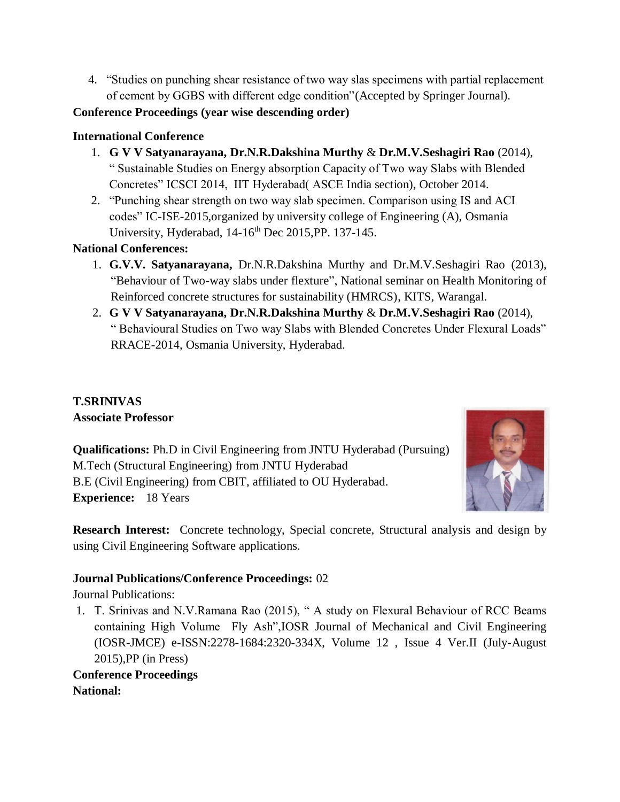4. "Studies on punching shear resistance of two way slas specimens with partial replacement of cement by GGBS with different edge condition"(Accepted by Springer Journal).

**Conference Proceedings (year wise descending order)**

## **International Conference**

- 1. **G V V Satyanarayana, Dr.N.R.Dakshina Murthy** & **Dr.M.V.Seshagiri Rao** (2014), " Sustainable Studies on Energy absorption Capacity of Two way Slabs with Blended Concretes" ICSCI 2014, IIT Hyderabad( ASCE India section), October 2014.
- 2. "Punching shear strength on two way slab specimen. Comparison using IS and ACI codes" IC-ISE-2015,organized by university college of Engineering (A), Osmania University, Hyderabad, 14-16<sup>th</sup> Dec 2015, PP. 137-145.

**National Conferences:**

- 1. **G.V.V. Satyanarayana,** Dr.N.R.Dakshina Murthy and Dr.M.V.Seshagiri Rao (2013), "Behaviour of Two-way slabs under flexture", National seminar on Health Monitoring of Reinforced concrete structures for sustainability (HMRCS), KITS, Warangal.
- 2. **G V V Satyanarayana, Dr.N.R.Dakshina Murthy** & **Dr.M.V.Seshagiri Rao** (2014), " Behavioural Studies on Two way Slabs with Blended Concretes Under Flexural Loads" RRACE-2014, Osmania University, Hyderabad.

# **T.SRINIVAS Associate Professor**

**Qualifications:** Ph.D in Civil Engineering from JNTU Hyderabad (Pursuing) M.Tech (Structural Engineering) from JNTU Hyderabad B.E (Civil Engineering) from CBIT, affiliated to OU Hyderabad. **Experience:** 18 Years



**Research Interest:** Concrete technology, Special concrete, Structural analysis and design by using Civil Engineering Software applications.

# **Journal Publications/Conference Proceedings:** 02

Journal Publications:

1. T. Srinivas and N.V.Ramana Rao (2015), " A study on Flexural Behaviour of RCC Beams containing High Volume Fly Ash",IOSR Journal of Mechanical and Civil Engineering (IOSR-JMCE) e-ISSN:2278-1684:2320-334X, Volume 12 , Issue 4 Ver.II (July-August 2015),PP (in Press)

**Conference Proceedings National:**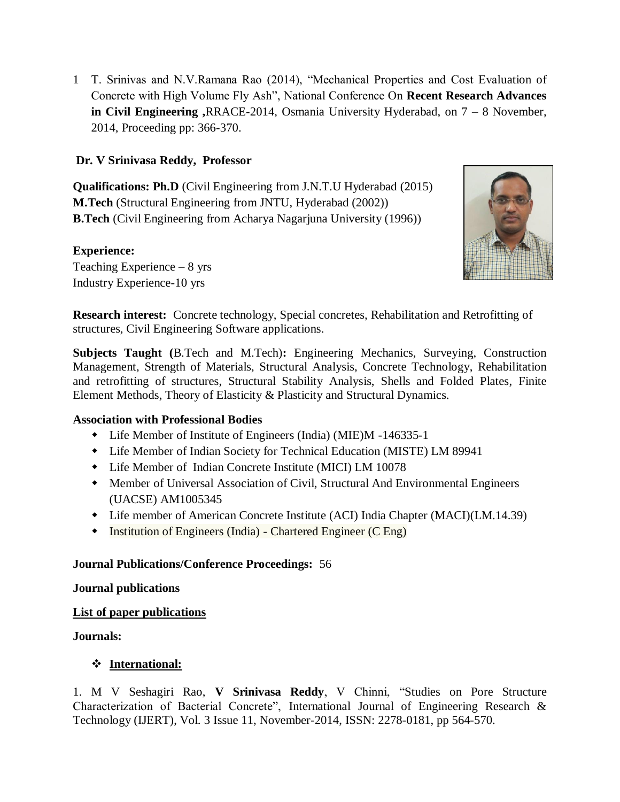1 T. Srinivas and N.V.Ramana Rao (2014), "Mechanical Properties and Cost Evaluation of Concrete with High Volume Fly Ash", National Conference On **Recent Research Advances in Civil Engineering ,**RRACE-2014, Osmania University Hyderabad, on 7 – 8 November, 2014, Proceeding pp: 366-370.

### **Dr. V Srinivasa Reddy, Professor**

**Qualifications: Ph.D** (Civil Engineering from J.N.T.U Hyderabad (2015) **M.Tech** (Structural Engineering from JNTU, Hyderabad (2002)) **B.Tech** (Civil Engineering from Acharya Nagarjuna University (1996))

### **Experience:**

Teaching Experience – 8 yrs Industry Experience-10 yrs



**Research interest:** Concrete technology, Special concretes, Rehabilitation and Retrofitting of structures, Civil Engineering Software applications.

**Subjects Taught (**B.Tech and M.Tech)**:** Engineering Mechanics, Surveying, Construction Management, Strength of Materials, Structural Analysis, Concrete Technology, Rehabilitation and retrofitting of structures, Structural Stability Analysis, Shells and Folded Plates, Finite Element Methods, Theory of Elasticity & Plasticity and Structural Dynamics.

### **Association with Professional Bodies**

- Life Member of Institute of Engineers (India) (MIE)M -146335-1
- Life Member of Indian Society for Technical Education (MISTE) LM 89941
- Life Member of Indian Concrete Institute (MICI) LM 10078
- Member of Universal Association of Civil, Structural And Environmental Engineers (UACSE) AM1005345
- Life member of American Concrete Institute (ACI) India Chapter (MACI)(LM.14.39)
- Institution of Engineers (India) Chartered Engineer (C Eng)

### **Journal Publications/Conference Proceedings:** 56

**Journal publications**

### **List of paper publications**

#### **Journals:**

### **International:**

1. M V Seshagiri Rao, **V Srinivasa Reddy**, V Chinni, "Studies on Pore Structure Characterization of Bacterial Concrete", International Journal of Engineering Research & Technology (IJERT), Vol. 3 Issue 11, November-2014, ISSN: 2278-0181, pp 564-570.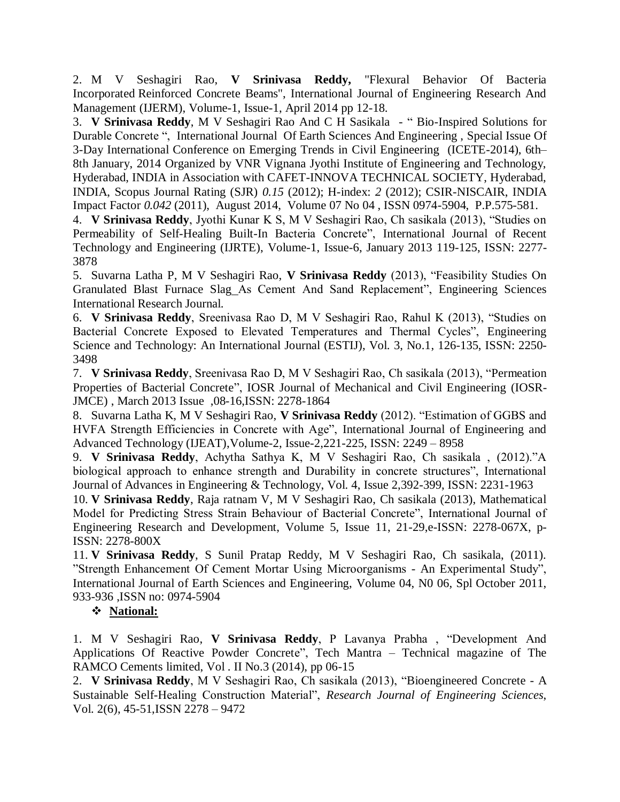2. M V Seshagiri Rao, **V Srinivasa Reddy,** "Flexural Behavior Of Bacteria Incorporated Reinforced Concrete Beams", International Journal of Engineering Research And Management (IJERM), Volume-1, Issue-1, April 2014 pp 12-18.

3. **V Srinivasa Reddy**, M V Seshagiri Rao And C H Sasikala - " Bio-Inspired Solutions for Durable Concrete ", International Journal Of Earth Sciences And Engineering , Special Issue Of 3-Day International Conference on Emerging Trends in Civil Engineering (ICETE-2014), 6th– 8th January, 2014 Organized by VNR Vignana Jyothi Institute of Engineering and Technology, Hyderabad, INDIA in Association with CAFET-INNOVA TECHNICAL SOCIETY, Hyderabad, INDIA, Scopus Journal Rating (SJR) *0.15* (2012); H-index: *2* (2012); CSIR-NISCAIR, INDIA Impact Factor *0.042* (2011), August 2014, Volume 07 No 04 , ISSN 0974-5904, P.P.575-581.

4. **V Srinivasa Reddy**, Jyothi Kunar K S, M V Seshagiri Rao, Ch sasikala (2013), "Studies on Permeability of Self-Healing Built-In Bacteria Concrete", International Journal of Recent Technology and Engineering (IJRTE), Volume-1, Issue-6, January 2013 119-125, ISSN: 2277- 3878

5. Suvarna Latha P, M V Seshagiri Rao, **V Srinivasa Reddy** (2013), "Feasibility Studies On Granulated Blast Furnace Slag As Cement And Sand Replacement", Engineering Sciences International Research Journal.

6. **V Srinivasa Reddy**, Sreenivasa Rao D, M V Seshagiri Rao, Rahul K (2013), "Studies on Bacterial Concrete Exposed to Elevated Temperatures and Thermal Cycles", Engineering Science and Technology: An International Journal (ESTIJ), Vol. 3, No.1, 126-135, ISSN: 2250- 3498

7. **V Srinivasa Reddy**, Sreenivasa Rao D, M V Seshagiri Rao, Ch sasikala (2013), "Permeation Properties of Bacterial Concrete", IOSR Journal of Mechanical and Civil Engineering (IOSR-JMCE) , March 2013 Issue ,08-16,ISSN: 2278-1864

8. Suvarna Latha K, M V Seshagiri Rao, **V Srinivasa Reddy** (2012). "Estimation of GGBS and HVFA Strength Efficiencies in Concrete with Age", International Journal of Engineering and Advanced Technology (IJEAT),Volume-2, Issue-2,221-225, ISSN: 2249 – 8958

9. **V Srinivasa Reddy**, Achytha Sathya K, M V Seshagiri Rao, Ch sasikala , (2012)."A biological approach to enhance strength and Durability in concrete structures", International Journal of Advances in Engineering & Technology, Vol. 4, Issue 2,392-399, ISSN: 2231-1963

10. **V Srinivasa Reddy**, Raja ratnam V, M V Seshagiri Rao, Ch sasikala (2013), Mathematical Model for Predicting Stress Strain Behaviour of Bacterial Concrete", International Journal of Engineering Research and Development, Volume 5, Issue 11, 21-29,e-ISSN: 2278-067X, p-ISSN: 2278-800X

11. **V Srinivasa Reddy**, S Sunil Pratap Reddy, M V Seshagiri Rao, Ch sasikala, (2011). "Strength Enhancement Of Cement Mortar Using Microorganisms - An Experimental Study", International Journal of Earth Sciences and Engineering, Volume 04, N0 06, Spl October 2011, 933-936 ,ISSN no: 0974-5904

### **National:**

1. M V Seshagiri Rao, **V Srinivasa Reddy**, P Lavanya Prabha , "Development And Applications Of Reactive Powder Concrete", Tech Mantra – Technical magazine of The RAMCO Cements limited, Vol . II No.3 (2014), pp 06-15

2. **V Srinivasa Reddy**, M V Seshagiri Rao, Ch sasikala (2013), "Bioengineered Concrete - A Sustainable Self-Healing Construction Material", *Research Journal of Engineering Sciences*, Vol. 2(6), 45-51,ISSN 2278 – 9472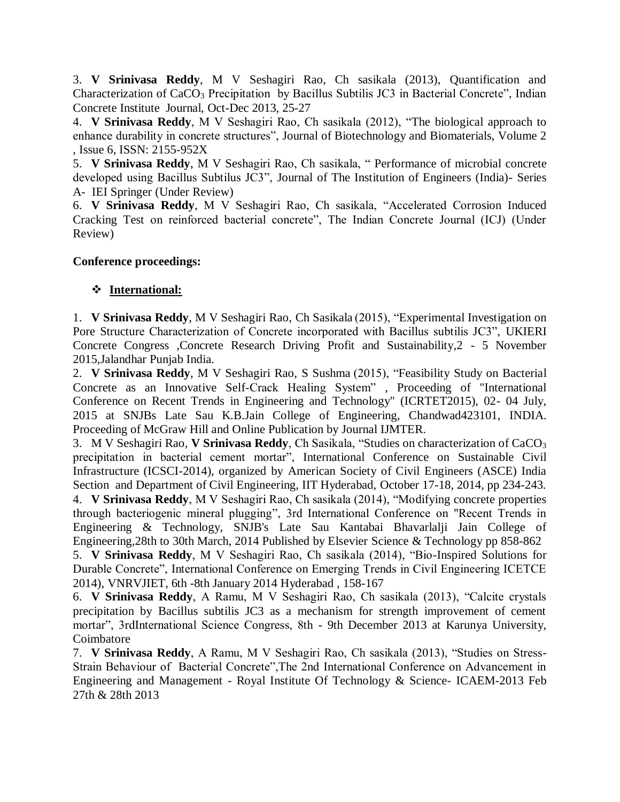3. **V Srinivasa Reddy**, M V Seshagiri Rao, Ch sasikala (2013), Quantification and Characterization of CaCO<sub>3</sub> Precipitation by Bacillus Subtilis JC3 in Bacterial Concrete", Indian Concrete Institute Journal, Oct-Dec 2013, 25-27

4. **V Srinivasa Reddy**, M V Seshagiri Rao, Ch sasikala (2012), "The biological approach to enhance durability in concrete structures", Journal of Biotechnology and Biomaterials, Volume 2 , Issue 6, ISSN: 2155-952X

5. **V Srinivasa Reddy**, M V Seshagiri Rao, Ch sasikala, " Performance of microbial concrete developed using Bacillus Subtilus JC3", Journal of The Institution of Engineers (India)- Series A- IEI Springer (Under Review)

6. **V Srinivasa Reddy**, M V Seshagiri Rao, Ch sasikala, "Accelerated Corrosion Induced Cracking Test on reinforced bacterial concrete", The Indian Concrete Journal (ICJ) (Under Review)

### **Conference proceedings:**

# **International:**

1. **V Srinivasa Reddy**, M V Seshagiri Rao, Ch Sasikala (2015), "Experimental Investigation on Pore Structure Characterization of Concrete incorporated with Bacillus subtilis JC3", UKIERI Concrete Congress ,Concrete Research Driving Profit and Sustainability,2 - 5 November 2015,Jalandhar Punjab India.

2. **V Srinivasa Reddy**, M V Seshagiri Rao, S Sushma (2015), "Feasibility Study on Bacterial Concrete as an Innovative Self-Crack Healing System" , Proceeding of "International Conference on Recent Trends in Engineering and Technology" (ICRTET2015), 02- 04 July, 2015 at SNJBs Late Sau K.B.Jain College of Engineering, Chandwad423101, INDIA. Proceeding of McGraw Hill and Online Publication by Journal IJMTER.

3. M V Seshagiri Rao, **V Srinivasa Reddy**, Ch Sasikala, "Studies on characterization of CaCO<sup>3</sup> precipitation in bacterial cement mortar", International Conference on Sustainable Civil Infrastructure (ICSCI-2014), organized by American Society of Civil Engineers (ASCE) India Section and Department of Civil Engineering, IIT Hyderabad, October 17-18, 2014, pp 234-243.

4. **V Srinivasa Reddy**, M V Seshagiri Rao, Ch sasikala (2014), "Modifying concrete properties through bacteriogenic mineral plugging", 3rd International Conference on "Recent Trends in Engineering & Technology, SNJB's Late Sau Kantabai Bhavarlalji Jain College of Engineering,28th to 30th March, 2014 Published by Elsevier Science & Technology pp 858-862

5. **V Srinivasa Reddy**, M V Seshagiri Rao, Ch sasikala (2014), "Bio-Inspired Solutions for Durable Concrete", International Conference on Emerging Trends in Civil Engineering ICETCE 2014), VNRVJIET, 6th -8th January 2014 Hyderabad , 158-167

6. **V Srinivasa Reddy**, A Ramu, M V Seshagiri Rao, Ch sasikala (2013), "Calcite crystals precipitation by Bacillus subtilis JC3 as a mechanism for strength improvement of cement mortar", 3rdInternational Science Congress, 8th - 9th December 2013 at Karunya University, Coimbatore

7. **V Srinivasa Reddy**, A Ramu, M V Seshagiri Rao, Ch sasikala (2013), "Studies on Stress-Strain Behaviour of Bacterial Concrete",The 2nd International Conference on Advancement in Engineering and Management - Royal Institute Of Technology & Science- ICAEM-2013 Feb 27th & 28th 2013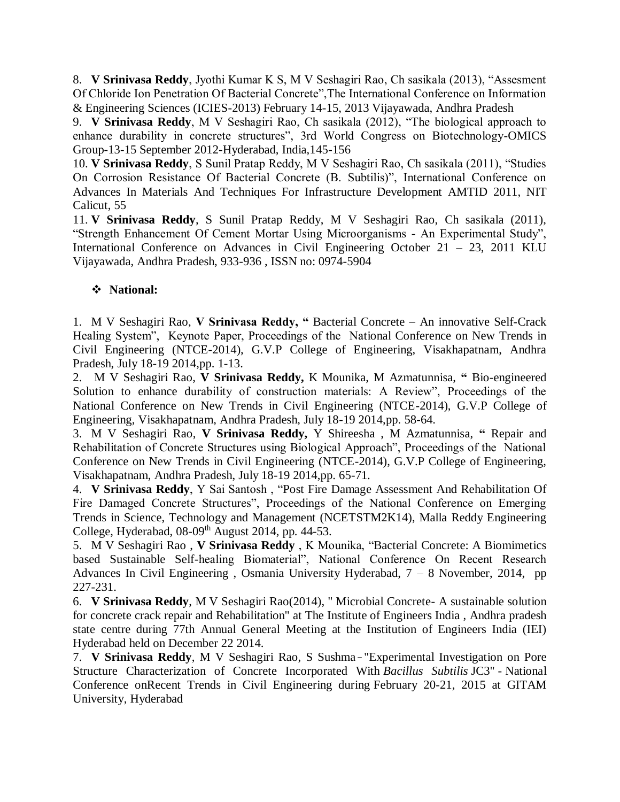8. **V Srinivasa Reddy**, Jyothi Kumar K S, M V Seshagiri Rao, Ch sasikala (2013), "Assesment Of Chloride Ion Penetration Of Bacterial Concrete",The International Conference on Information & Engineering Sciences (ICIES-2013) February 14-15, 2013 Vijayawada, Andhra Pradesh

9. **V Srinivasa Reddy**, M V Seshagiri Rao, Ch sasikala (2012), "The biological approach to enhance durability in concrete structures", 3rd World Congress on Biotechnology-OMICS Group-13-15 September 2012-Hyderabad, India,145-156

10. **V Srinivasa Reddy**, S Sunil Pratap Reddy, M V Seshagiri Rao, Ch sasikala (2011), "Studies On Corrosion Resistance Of Bacterial Concrete (B. Subtilis)", International Conference on Advances In Materials And Techniques For Infrastructure Development AMTID 2011, NIT Calicut, 55

11. **V Srinivasa Reddy**, S Sunil Pratap Reddy, M V Seshagiri Rao, Ch sasikala (2011), "Strength Enhancement Of Cement Mortar Using Microorganisms - An Experimental Study", International Conference on Advances in Civil Engineering October 21 – 23, 2011 KLU Vijayawada, Andhra Pradesh, 933-936 , ISSN no: 0974-5904

## **National:**

1. M V Seshagiri Rao, **V Srinivasa Reddy, "** Bacterial Concrete – An innovative Self-Crack Healing System", Keynote Paper, Proceedings of the National Conference on New Trends in Civil Engineering (NTCE-2014), G.V.P College of Engineering, Visakhapatnam, Andhra Pradesh, July 18-19 2014,pp. 1-13.

2. M V Seshagiri Rao, **V Srinivasa Reddy,** K Mounika, M Azmatunnisa, **"** Bio-engineered Solution to enhance durability of construction materials: A Review", Proceedings of the National Conference on New Trends in Civil Engineering (NTCE-2014), G.V.P College of Engineering, Visakhapatnam, Andhra Pradesh, July 18-19 2014,pp. 58-64.

3. M V Seshagiri Rao, **V Srinivasa Reddy,** Y Shireesha , M Azmatunnisa, **"** Repair and Rehabilitation of Concrete Structures using Biological Approach", Proceedings of the National Conference on New Trends in Civil Engineering (NTCE-2014), G.V.P College of Engineering, Visakhapatnam, Andhra Pradesh, July 18-19 2014,pp. 65-71.

4. **V Srinivasa Reddy**, Y Sai Santosh , "Post Fire Damage Assessment And Rehabilitation Of Fire Damaged Concrete Structures", Proceedings of the National Conference on Emerging Trends in Science, Technology and Management (NCETSTM2K14), Malla Reddy Engineering College, Hyderabad,  $08-09<sup>th</sup>$  August 2014, pp. 44-53.

5. M V Seshagiri Rao , **V Srinivasa Reddy** , K Mounika, "Bacterial Concrete: A Biomimetics based Sustainable Self-healing Biomaterial", National Conference On Recent Research Advances In Civil Engineering , Osmania University Hyderabad, 7 – 8 November, 2014, pp 227-231.

6. **V Srinivasa Reddy**, M V Seshagiri Rao(2014), " Microbial Concrete- A sustainable solution for concrete crack repair and Rehabilitation" at The Institute of Engineers India , Andhra pradesh state centre during 77th Annual General Meeting at the Institution of Engineers India (IEI) Hyderabad held on December 22 2014.

7. V Srinivasa Reddy, M V Seshagiri Rao, S Sushma-"Experimental Investigation on Pore Structure Characterization of Concrete Incorporated With *Bacillus Subtilis* JC3" - National Conference onRecent Trends in Civil Engineering during February 20-21, 2015 at GITAM University, Hyderabad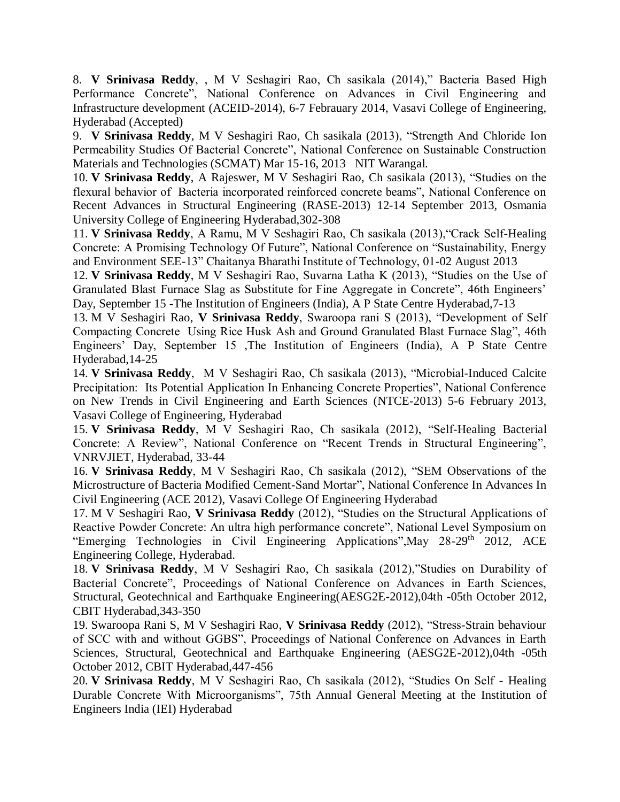8. **V Srinivasa Reddy**, , M V Seshagiri Rao, Ch sasikala (2014)," Bacteria Based High Performance Concrete", National Conference on Advances in Civil Engineering and Infrastructure development (ACEID-2014), 6-7 Febrauary 2014, Vasavi College of Engineering, Hyderabad (Accepted)

9. **V Srinivasa Reddy**, M V Seshagiri Rao, Ch sasikala (2013), "Strength And Chloride Ion Permeability Studies Of Bacterial Concrete", National Conference on Sustainable Construction Materials and Technologies (SCMAT) Mar 15-16, 2013 NIT Warangal.

10. **V Srinivasa Reddy**, A Rajeswer, M V Seshagiri Rao, Ch sasikala (2013), "Studies on the flexural behavior of Bacteria incorporated reinforced concrete beams", National Conference on Recent Advances in Structural Engineering (RASE-2013) 12-14 September 2013, Osmania University College of Engineering Hyderabad,302-308

11. **V Srinivasa Reddy**, A Ramu, M V Seshagiri Rao, Ch sasikala (2013),"Crack Self-Healing Concrete: A Promising Technology Of Future", National Conference on "Sustainability, Energy and Environment SEE-13" Chaitanya Bharathi Institute of Technology, 01-02 August 2013

12. **V Srinivasa Reddy**, M V Seshagiri Rao, Suvarna Latha K (2013), "Studies on the Use of Granulated Blast Furnace Slag as Substitute for Fine Aggregate in Concrete", 46th Engineers' Day, September 15 -The Institution of Engineers (India), A P State Centre Hyderabad,7-13

13. M V Seshagiri Rao, **V Srinivasa Reddy**, Swaroopa rani S (2013), "Development of Self Compacting Concrete Using Rice Husk Ash and Ground Granulated Blast Furnace Slag", 46th Engineers' Day, September 15 ,The Institution of Engineers (India), A P State Centre Hyderabad,14-25

14. **V Srinivasa Reddy**, M V Seshagiri Rao, Ch sasikala (2013), "Microbial-Induced Calcite Precipitation: Its Potential Application In Enhancing Concrete Properties", National Conference on New Trends in Civil Engineering and Earth Sciences (NTCE-2013) 5-6 February 2013, Vasavi College of Engineering, Hyderabad

15. **V Srinivasa Reddy**, M V Seshagiri Rao, Ch sasikala (2012), "Self-Healing Bacterial Concrete: A Review", National Conference on "Recent Trends in Structural Engineering", VNRVJIET, Hyderabad, 33-44

16. **V Srinivasa Reddy**, M V Seshagiri Rao, Ch sasikala (2012), "SEM Observations of the Microstructure of Bacteria Modified Cement-Sand Mortar", National Conference In Advances In Civil Engineering (ACE 2012), Vasavi College Of Engineering Hyderabad

17. M V Seshagiri Rao, **V Srinivasa Reddy** (2012), "Studies on the Structural Applications of Reactive Powder Concrete: An ultra high performance concrete", National Level Symposium on "Emerging Technologies in Civil Engineering Applications", May 28-29<sup>th</sup> 2012, ACE Engineering College, Hyderabad.

18. **V Srinivasa Reddy**, M V Seshagiri Rao, Ch sasikala (2012),"Studies on Durability of Bacterial Concrete", Proceedings of National Conference on Advances in Earth Sciences, Structural, Geotechnical and Earthquake Engineering(AESG2E-2012),04th -05th October 2012, CBIT Hyderabad,343-350

19. Swaroopa Rani S, M V Seshagiri Rao, **V Srinivasa Reddy** (2012), "Stress-Strain behaviour of SCC with and without GGBS", Proceedings of National Conference on Advances in Earth Sciences, Structural, Geotechnical and Earthquake Engineering (AESG2E-2012),04th -05th October 2012, CBIT Hyderabad,447-456

20. **V Srinivasa Reddy**, M V Seshagiri Rao, Ch sasikala (2012), "Studies On Self - Healing Durable Concrete With Microorganisms", 75th Annual General Meeting at the Institution of Engineers India (IEI) Hyderabad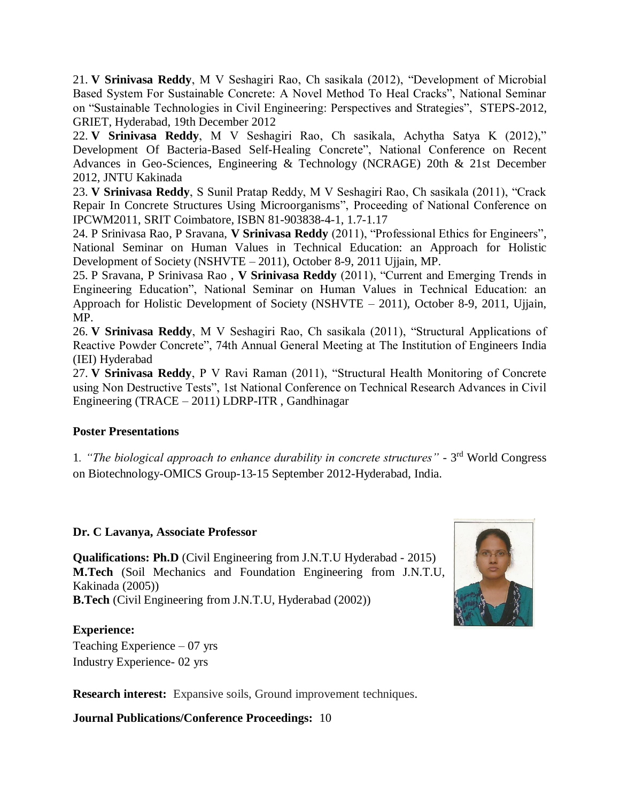21. **V Srinivasa Reddy**, M V Seshagiri Rao, Ch sasikala (2012), "Development of Microbial Based System For Sustainable Concrete: A Novel Method To Heal Cracks", National Seminar on "Sustainable Technologies in Civil Engineering: Perspectives and Strategies", STEPS-2012, GRIET, Hyderabad, 19th December 2012

22. **V Srinivasa Reddy**, M V Seshagiri Rao, Ch sasikala, Achytha Satya K (2012)," Development Of Bacteria-Based Self-Healing Concrete", National Conference on Recent Advances in Geo-Sciences, Engineering & Technology (NCRAGE) 20th & 21st December 2012, JNTU Kakinada

23. **V Srinivasa Reddy**, S Sunil Pratap Reddy, M V Seshagiri Rao, Ch sasikala (2011), "Crack Repair In Concrete Structures Using Microorganisms", Proceeding of National Conference on IPCWM2011, SRIT Coimbatore, ISBN 81-903838-4-1, 1.7-1.17

24. P Srinivasa Rao, P Sravana, **V Srinivasa Reddy** (2011), "Professional Ethics for Engineers", National Seminar on Human Values in Technical Education: an Approach for Holistic Development of Society (NSHVTE – 2011), October 8-9, 2011 Ujjain, MP.

25. P Sravana, P Srinivasa Rao , **V Srinivasa Reddy** (2011), "Current and Emerging Trends in Engineering Education", National Seminar on Human Values in Technical Education: an Approach for Holistic Development of Society (NSHVTE – 2011), October 8-9, 2011, Ujjain, MP.

26. **V Srinivasa Reddy**, M V Seshagiri Rao, Ch sasikala (2011), "Structural Applications of Reactive Powder Concrete", 74th Annual General Meeting at The Institution of Engineers India (IEI) Hyderabad

27. **V Srinivasa Reddy**, P V Ravi Raman (2011), "Structural Health Monitoring of Concrete using Non Destructive Tests", 1st National Conference on Technical Research Advances in Civil Engineering (TRACE – 2011) LDRP-ITR , Gandhinagar

### **Poster Presentations**

1*. "The biological approach to enhance durability in concrete structures"* - 3 rd World Congress on Biotechnology-OMICS Group-13-15 September 2012-Hyderabad, India.

### **Dr. C Lavanya, Associate Professor**

**Qualifications: Ph.D** (Civil Engineering from J.N.T.U Hyderabad - 2015) **M.Tech** (Soil Mechanics and Foundation Engineering from J.N.T.U, Kakinada (2005)) **B.Tech** (Civil Engineering from J.N.T.U, Hyderabad (2002))



### **Experience:**

Teaching Experience – 07 yrs Industry Experience- 02 yrs

**Research interest:** Expansive soils, Ground improvement techniques.

**Journal Publications/Conference Proceedings:** 10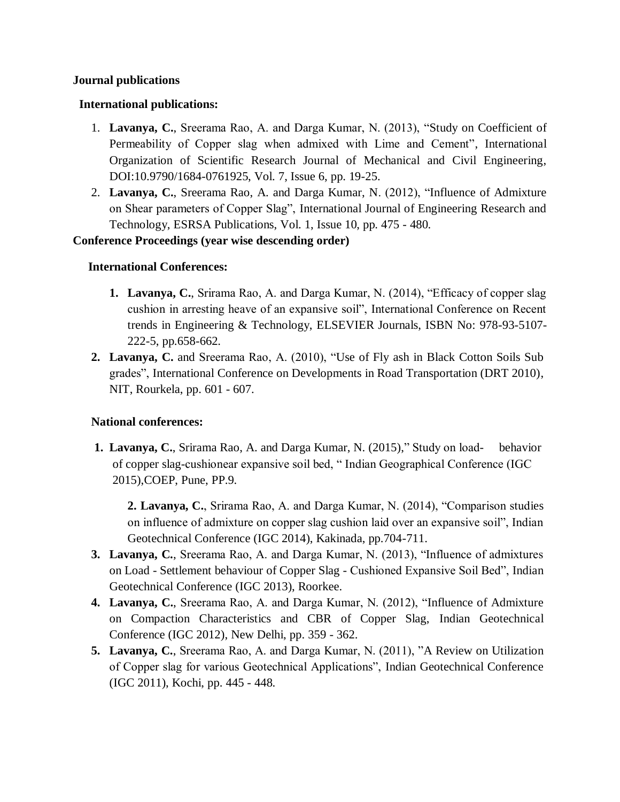#### **Journal publications**

#### **International publications:**

- 1. **Lavanya, C.**, Sreerama Rao, A. and Darga Kumar, N. (2013), "Study on Coefficient of Permeability of Copper slag when admixed with Lime and Cement", International Organization of Scientific Research Journal of Mechanical and Civil Engineering, DOI:10.9790/1684-0761925, Vol. 7, Issue 6, pp. 19-25.
- 2. **Lavanya, C.**, Sreerama Rao, A. and Darga Kumar, N. (2012), "Influence of Admixture on Shear parameters of Copper Slag", International Journal of Engineering Research and Technology, ESRSA Publications, Vol. 1, Issue 10, pp. 475 - 480.

#### **Conference Proceedings (year wise descending order)**

#### **International Conferences:**

- **1. Lavanya, C.**, Srirama Rao, A. and Darga Kumar, N. (2014), "Efficacy of copper slag cushion in arresting heave of an expansive soil", International Conference on Recent trends in Engineering & Technology, ELSEVIER Journals, ISBN No: 978-93-5107- 222-5, pp.658-662.
- **2. Lavanya, C.** and Sreerama Rao, A. (2010), "Use of Fly ash in Black Cotton Soils Sub grades", International Conference on Developments in Road Transportation (DRT 2010), NIT, Rourkela, pp. 601 - 607.

#### **National conferences:**

**1. Lavanya, C.**, Srirama Rao, A. and Darga Kumar, N. (2015)," Study on load- behavior of copper slag-cushionear expansive soil bed, " Indian Geographical Conference (IGC 2015),COEP, Pune, PP.9.

**2. Lavanya, C.**, Srirama Rao, A. and Darga Kumar, N. (2014), "Comparison studies on influence of admixture on copper slag cushion laid over an expansive soil", Indian Geotechnical Conference (IGC 2014), Kakinada, pp.704-711.

- **3. Lavanya, C.**, Sreerama Rao, A. and Darga Kumar, N. (2013), "Influence of admixtures on Load - Settlement behaviour of Copper Slag - Cushioned Expansive Soil Bed", Indian Geotechnical Conference (IGC 2013), Roorkee.
- **4. Lavanya, C.**, Sreerama Rao, A. and Darga Kumar, N. (2012), "Influence of Admixture on Compaction Characteristics and CBR of Copper Slag, Indian Geotechnical Conference (IGC 2012), New Delhi, pp. 359 - 362.
- **5. Lavanya, C.**, Sreerama Rao, A. and Darga Kumar, N. (2011), "A Review on Utilization of Copper slag for various Geotechnical Applications", Indian Geotechnical Conference (IGC 2011), Kochi, pp. 445 - 448.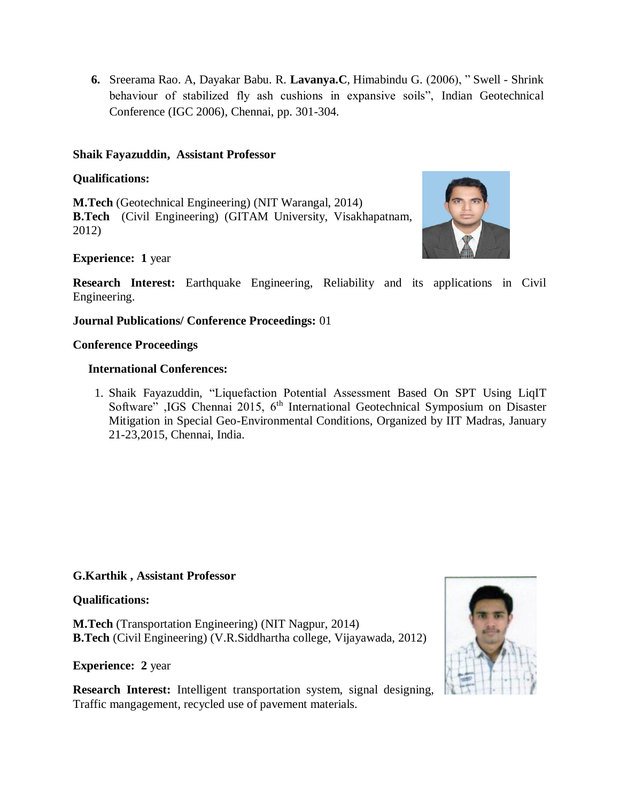**6.** Sreerama Rao. A, Dayakar Babu. R. **Lavanya.C**, Himabindu G. (2006), " Swell - Shrink behaviour of stabilized fly ash cushions in expansive soils", Indian Geotechnical Conference (IGC 2006), Chennai, pp. 301-304.

#### **Shaik Fayazuddin, Assistant Professor**

#### **Qualifications:**

**M.Tech** (Geotechnical Engineering) (NIT Warangal, 2014) **B.Tech** (Civil Engineering) (GITAM University, Visakhapatnam, 2012)



### **Experience: 1** year

**Research Interest:** Earthquake Engineering, Reliability and its applications in Civil Engineering.

#### **Journal Publications/ Conference Proceedings:** 01

#### **Conference Proceedings**

#### **International Conferences:**

1. Shaik Fayazuddin, "Liquefaction Potential Assessment Based On SPT Using LiqIT Software" ,IGS Chennai 2015, 6<sup>th</sup> International Geotechnical Symposium on Disaster Mitigation in Special Geo-Environmental Conditions, Organized by IIT Madras, January 21-23,2015, Chennai, India.

### **G.Karthik , Assistant Professor**

#### **Qualifications:**

**M.Tech** (Transportation Engineering) (NIT Nagpur, 2014) **B.Tech** (Civil Engineering) (V.R.Siddhartha college, Vijayawada, 2012)

**Experience: 2** year

**Research Interest:** Intelligent transportation system, signal designing, Traffic mangagement, recycled use of pavement materials.